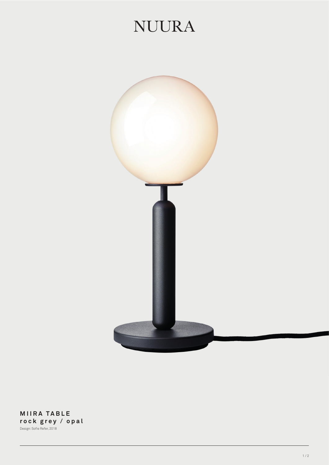## **NUURA**



**MIIRA TABLE rock grey / opal** Design: Sofie Refer, 2018